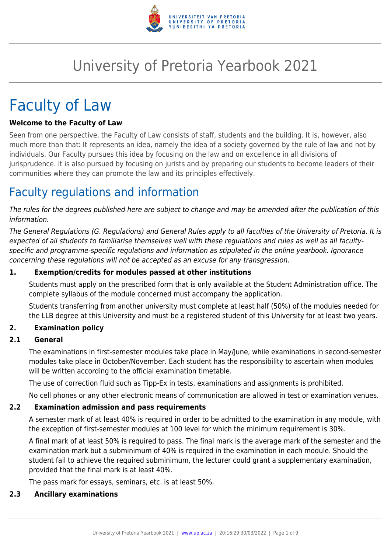

# University of Pretoria Yearbook 2021

# Faculty of Law

#### **Welcome to the Faculty of Law**

Seen from one perspective, the Faculty of Law consists of staff, students and the building. It is, however, also much more than that: It represents an idea, namely the idea of a society governed by the rule of law and not by individuals. Our Faculty pursues this idea by focusing on the law and on excellence in all divisions of jurisprudence. It is also pursued by focusing on jurists and by preparing our students to become leaders of their communities where they can promote the law and its principles effectively.

### Faculty regulations and information

The rules for the degrees published here are subject to change and may be amended after the publication of this information.

The General Regulations (G. Regulations) and General Rules apply to all faculties of the University of Pretoria. It is expected of all students to familiarise themselves well with these regulations and rules as well as all facultyspecific and programme-specific regulations and information as stipulated in the online yearbook. Ignorance concerning these regulations will not be accepted as an excuse for any transgression.

#### **1. Exemption/credits for modules passed at other institutions**

Students must apply on the prescribed form that is only available at the Student Administration office. The complete syllabus of the module concerned must accompany the application.

Students transferring from another university must complete at least half (50%) of the modules needed for the LLB degree at this University and must be a registered student of this University for at least two years.

#### **2. Examination policy**

#### **2.1 General**

The examinations in first-semester modules take place in May/June, while examinations in second-semester modules take place in October/November. Each student has the responsibility to ascertain when modules will be written according to the official examination timetable.

The use of correction fluid such as Tipp-Ex in tests, examinations and assignments is prohibited.

No cell phones or any other electronic means of communication are allowed in test or examination venues.

#### **2.2 Examination admission and pass requirements**

A semester mark of at least 40% is required in order to be admitted to the examination in any module, with the exception of first-semester modules at 100 level for which the minimum requirement is 30%.

A final mark of at least 50% is required to pass. The final mark is the average mark of the semester and the examination mark but a subminimum of 40% is required in the examination in each module. Should the student fail to achieve the required subminimum, the lecturer could grant a supplementary examination, provided that the final mark is at least 40%.

The pass mark for essays, seminars, etc. is at least 50%.

#### **2.3 Ancillary examinations**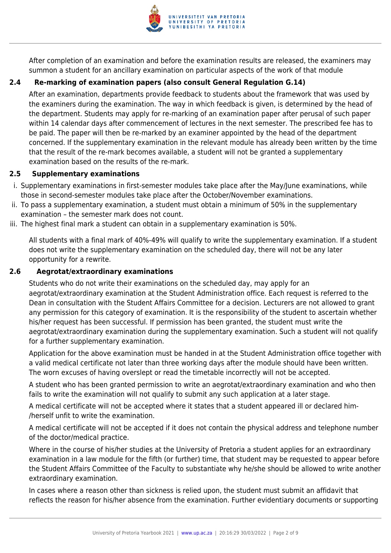

After completion of an examination and before the examination results are released, the examiners may summon a student for an ancillary examination on particular aspects of the work of that module

#### **2.4 Re-marking of examination papers (also consult General Regulation G.14)**

After an examination, departments provide feedback to students about the framework that was used by the examiners during the examination. The way in which feedback is given, is determined by the head of the department. Students may apply for re-marking of an examination paper after perusal of such paper within 14 calendar days after commencement of lectures in the next semester. The prescribed fee has to be paid. The paper will then be re-marked by an examiner appointed by the head of the department concerned. If the supplementary examination in the relevant module has already been written by the time that the result of the re-mark becomes available, a student will not be granted a supplementary examination based on the results of the re-mark.

#### **2.5 Supplementary examinations**

- i. Supplementary examinations in first-semester modules take place after the May/June examinations, while those in second-semester modules take place after the October/November examinations.
- ii. To pass a supplementary examination, a student must obtain a minimum of 50% in the supplementary examination – the semester mark does not count.
- iii. The highest final mark a student can obtain in a supplementary examination is 50%.

All students with a final mark of 40%-49% will qualify to write the supplementary examination. If a student does not write the supplementary examination on the scheduled day, there will not be any later opportunity for a rewrite.

#### **2.6 Aegrotat/extraordinary examinations**

Students who do not write their examinations on the scheduled day, may apply for an aegrotat/extraordinary examination at the Student Administration office. Each request is referred to the Dean in consultation with the Student Affairs Committee for a decision. Lecturers are not allowed to grant any permission for this category of examination. It is the responsibility of the student to ascertain whether his/her request has been successful. If permission has been granted, the student must write the aegrotat/extraordinary examination during the supplementary examination. Such a student will not qualify for a further supplementary examination.

Application for the above examination must be handed in at the Student Administration office together with a valid medical certificate not later than three working days after the module should have been written. The worn excuses of having overslept or read the timetable incorrectly will not be accepted.

A student who has been granted permission to write an aegrotat/extraordinary examination and who then fails to write the examination will not qualify to submit any such application at a later stage.

A medical certificate will not be accepted where it states that a student appeared ill or declared him- /herself unfit to write the examination.

A medical certificate will not be accepted if it does not contain the physical address and telephone number of the doctor/medical practice.

Where in the course of his/her studies at the University of Pretoria a student applies for an extraordinary examination in a law module for the fifth (or further) time, that student may be requested to appear before the Student Affairs Committee of the Faculty to substantiate why he/she should be allowed to write another extraordinary examination.

In cases where a reason other than sickness is relied upon, the student must submit an affidavit that reflects the reason for his/her absence from the examination. Further evidentiary documents or supporting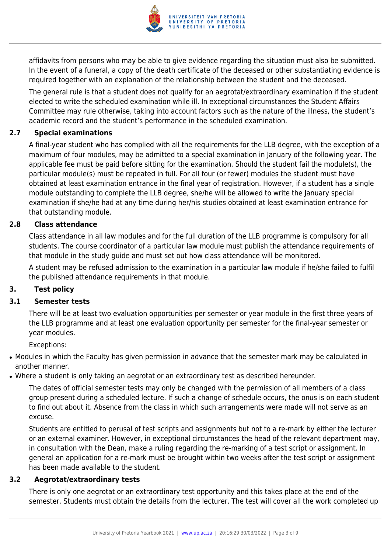

affidavits from persons who may be able to give evidence regarding the situation must also be submitted. In the event of a funeral, a copy of the death certificate of the deceased or other substantiating evidence is required together with an explanation of the relationship between the student and the deceased.

The general rule is that a student does not qualify for an aegrotat/extraordinary examination if the student elected to write the scheduled examination while ill. In exceptional circumstances the Student Affairs Committee may rule otherwise, taking into account factors such as the nature of the illness, the student's academic record and the student's performance in the scheduled examination.

#### **2.7 Special examinations**

A final-year student who has complied with all the requirements for the LLB degree, with the exception of a maximum of four modules, may be admitted to a special examination in January of the following year. The applicable fee must be paid before sitting for the examination. Should the student fail the module(s), the particular module(s) must be repeated in full. For all four (or fewer) modules the student must have obtained at least examination entrance in the final year of registration. However, if a student has a single module outstanding to complete the LLB degree, she/he will be allowed to write the January special examination if she/he had at any time during her/his studies obtained at least examination entrance for that outstanding module.

#### **2.8 Class attendance**

Class attendance in all law modules and for the full duration of the LLB programme is compulsory for all students. The course coordinator of a particular law module must publish the attendance requirements of that module in the study guide and must set out how class attendance will be monitored.

A student may be refused admission to the examination in a particular law module if he/she failed to fulfil the published attendance requirements in that module.

#### **3. Test policy**

#### **3.1 Semester tests**

There will be at least two evaluation opportunities per semester or year module in the first three years of the LLB programme and at least one evaluation opportunity per semester for the final-year semester or year modules.

Exceptions:

- Modules in which the Faculty has given permission in advance that the semester mark may be calculated in another manner.
- Where a student is only taking an aegrotat or an extraordinary test as described hereunder.

The dates of official semester tests may only be changed with the permission of all members of a class group present during a scheduled lecture. If such a change of schedule occurs, the onus is on each student to find out about it. Absence from the class in which such arrangements were made will not serve as an excuse.

Students are entitled to perusal of test scripts and assignments but not to a re-mark by either the lecturer or an external examiner. However, in exceptional circumstances the head of the relevant department may, in consultation with the Dean, make a ruling regarding the re-marking of a test script or assignment. In general an application for a re-mark must be brought within two weeks after the test script or assignment has been made available to the student.

#### **3.2 Aegrotat/extraordinary tests**

There is only one aegrotat or an extraordinary test opportunity and this takes place at the end of the semester. Students must obtain the details from the lecturer. The test will cover all the work completed up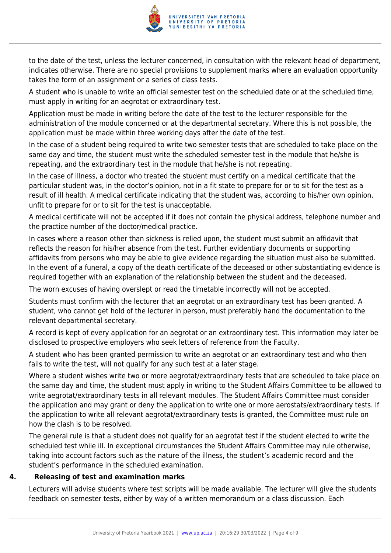

to the date of the test, unless the lecturer concerned, in consultation with the relevant head of department, indicates otherwise. There are no special provisions to supplement marks where an evaluation opportunity takes the form of an assignment or a series of class tests.

A student who is unable to write an official semester test on the scheduled date or at the scheduled time, must apply in writing for an aegrotat or extraordinary test.

Application must be made in writing before the date of the test to the lecturer responsible for the administration of the module concerned or at the departmental secretary. Where this is not possible, the application must be made within three working days after the date of the test.

In the case of a student being required to write two semester tests that are scheduled to take place on the same day and time, the student must write the scheduled semester test in the module that he/she is repeating, and the extraordinary test in the module that he/she is not repeating.

In the case of illness, a doctor who treated the student must certify on a medical certificate that the particular student was, in the doctor's opinion, not in a fit state to prepare for or to sit for the test as a result of ill health. A medical certificate indicating that the student was, according to his/her own opinion, unfit to prepare for or to sit for the test is unacceptable.

A medical certificate will not be accepted if it does not contain the physical address, telephone number and the practice number of the doctor/medical practice.

In cases where a reason other than sickness is relied upon, the student must submit an affidavit that reflects the reason for his/her absence from the test. Further evidentiary documents or supporting affidavits from persons who may be able to give evidence regarding the situation must also be submitted. In the event of a funeral, a copy of the death certificate of the deceased or other substantiating evidence is required together with an explanation of the relationship between the student and the deceased.

The worn excuses of having overslept or read the timetable incorrectly will not be accepted.

Students must confirm with the lecturer that an aegrotat or an extraordinary test has been granted. A student, who cannot get hold of the lecturer in person, must preferably hand the documentation to the relevant departmental secretary.

A record is kept of every application for an aegrotat or an extraordinary test. This information may later be disclosed to prospective employers who seek letters of reference from the Faculty.

A student who has been granted permission to write an aegrotat or an extraordinary test and who then fails to write the test, will not qualify for any such test at a later stage.

Where a student wishes write two or more aegrotat/extraordinary tests that are scheduled to take place on the same day and time, the student must apply in writing to the Student Affairs Committee to be allowed to write aegrotat/extraordinary tests in all relevant modules. The Student Affairs Committee must consider the application and may grant or deny the application to write one or more aerostats/extraordinary tests. If the application to write all relevant aegrotat/extraordinary tests is granted, the Committee must rule on how the clash is to be resolved.

The general rule is that a student does not qualify for an aegrotat test if the student elected to write the scheduled test while ill. In exceptional circumstances the Student Affairs Committee may rule otherwise, taking into account factors such as the nature of the illness, the student's academic record and the student's performance in the scheduled examination.

#### **4. Releasing of test and examination marks**

Lecturers will advise students where test scripts will be made available. The lecturer will give the students feedback on semester tests, either by way of a written memorandum or a class discussion. Each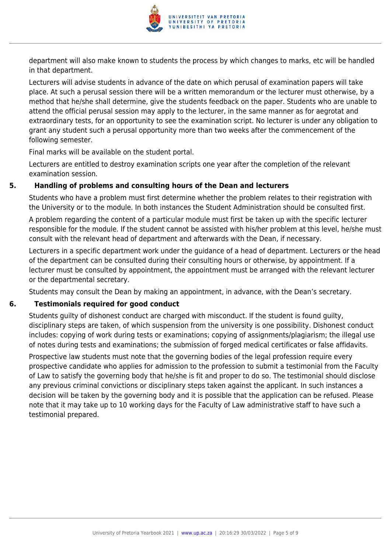

department will also make known to students the process by which changes to marks, etc will be handled in that department.

Lecturers will advise students in advance of the date on which perusal of examination papers will take place. At such a perusal session there will be a written memorandum or the lecturer must otherwise, by a method that he/she shall determine, give the students feedback on the paper. Students who are unable to attend the official perusal session may apply to the lecturer, in the same manner as for aegrotat and extraordinary tests, for an opportunity to see the examination script. No lecturer is under any obligation to grant any student such a perusal opportunity more than two weeks after the commencement of the following semester.

Final marks will be available on the student portal.

Lecturers are entitled to destroy examination scripts one year after the completion of the relevant examination session.

#### **5. Handling of problems and consulting hours of the Dean and lecturers**

Students who have a problem must first determine whether the problem relates to their registration with the University or to the module. In both instances the Student Administration should be consulted first.

A problem regarding the content of a particular module must first be taken up with the specific lecturer responsible for the module. If the student cannot be assisted with his/her problem at this level, he/she must consult with the relevant head of department and afterwards with the Dean, if necessary.

Lecturers in a specific department work under the guidance of a head of department. Lecturers or the head of the department can be consulted during their consulting hours or otherwise, by appointment. If a lecturer must be consulted by appointment, the appointment must be arranged with the relevant lecturer or the departmental secretary.

Students may consult the Dean by making an appointment, in advance, with the Dean's secretary.

#### **6. Testimonials required for good conduct**

Students guilty of dishonest conduct are charged with misconduct. If the student is found guilty, disciplinary steps are taken, of which suspension from the university is one possibility. Dishonest conduct includes: copying of work during tests or examinations; copying of assignments/plagiarism; the illegal use of notes during tests and examinations; the submission of forged medical certificates or false affidavits.

Prospective law students must note that the governing bodies of the legal profession require every prospective candidate who applies for admission to the profession to submit a testimonial from the Faculty of Law to satisfy the governing body that he/she is fit and proper to do so. The testimonial should disclose any previous criminal convictions or disciplinary steps taken against the applicant. In such instances a decision will be taken by the governing body and it is possible that the application can be refused. Please note that it may take up to 10 working days for the Faculty of Law administrative staff to have such a testimonial prepared.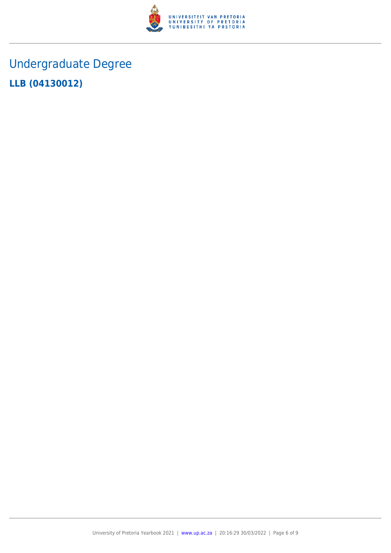

## Undergraduate Degree **LLB (04130012)**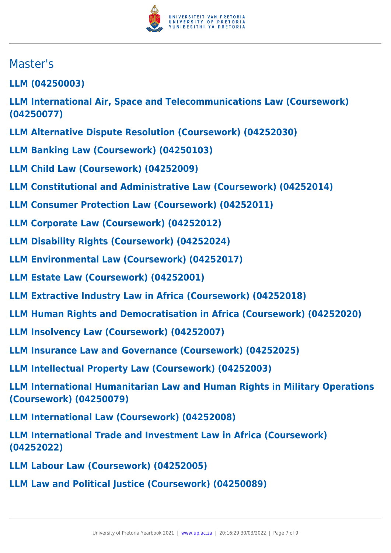

### Master's

**LLM (04250003)**

**LLM International Air, Space and Telecommunications Law (Coursework) (04250077)**

- **LLM Alternative Dispute Resolution (Coursework) (04252030)**
- **LLM Banking Law (Coursework) (04250103)**
- **LLM Child Law (Coursework) (04252009)**
- **LLM Constitutional and Administrative Law (Coursework) (04252014)**
- **LLM Consumer Protection Law (Coursework) (04252011)**
- **LLM Corporate Law (Coursework) (04252012)**
- **LLM Disability Rights (Coursework) (04252024)**
- **LLM Environmental Law (Coursework) (04252017)**
- **LLM Estate Law (Coursework) (04252001)**
- **LLM Extractive Industry Law in Africa (Coursework) (04252018)**
- **LLM Human Rights and Democratisation in Africa (Coursework) (04252020)**
- **LLM Insolvency Law (Coursework) (04252007)**
- **LLM Insurance Law and Governance (Coursework) (04252025)**
- **LLM Intellectual Property Law (Coursework) (04252003)**
- **LLM International Humanitarian Law and Human Rights in Military Operations (Coursework) (04250079)**
- **LLM International Law (Coursework) (04252008)**
- **LLM International Trade and Investment Law in Africa (Coursework) (04252022)**
- **LLM Labour Law (Coursework) (04252005)**
- **LLM Law and Political Justice (Coursework) (04250089)**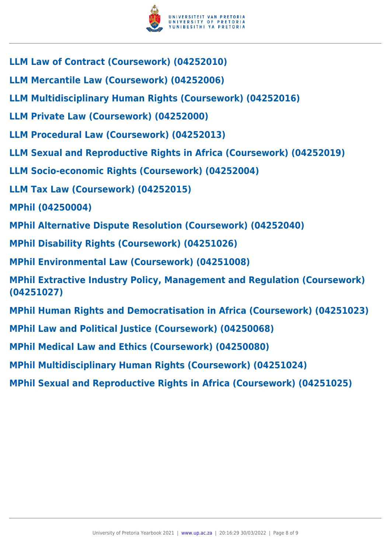

- **LLM Law of Contract (Coursework) (04252010)**
- **LLM Mercantile Law (Coursework) (04252006)**
- **LLM Multidisciplinary Human Rights (Coursework) (04252016)**
- **LLM Private Law (Coursework) (04252000)**
- **LLM Procedural Law (Coursework) (04252013)**
- **LLM Sexual and Reproductive Rights in Africa (Coursework) (04252019)**
- **LLM Socio-economic Rights (Coursework) (04252004)**
- **LLM Tax Law (Coursework) (04252015)**
- **MPhil (04250004)**
- **MPhil Alternative Dispute Resolution (Coursework) (04252040)**
- **MPhil Disability Rights (Coursework) (04251026)**
- **MPhil Environmental Law (Coursework) (04251008)**
- **MPhil Extractive Industry Policy, Management and Regulation (Coursework) (04251027)**
- **MPhil Human Rights and Democratisation in Africa (Coursework) (04251023)**
- **MPhil Law and Political Justice (Coursework) (04250068)**
- **MPhil Medical Law and Ethics (Coursework) (04250080)**
- **MPhil Multidisciplinary Human Rights (Coursework) (04251024)**
- **MPhil Sexual and Reproductive Rights in Africa (Coursework) (04251025)**